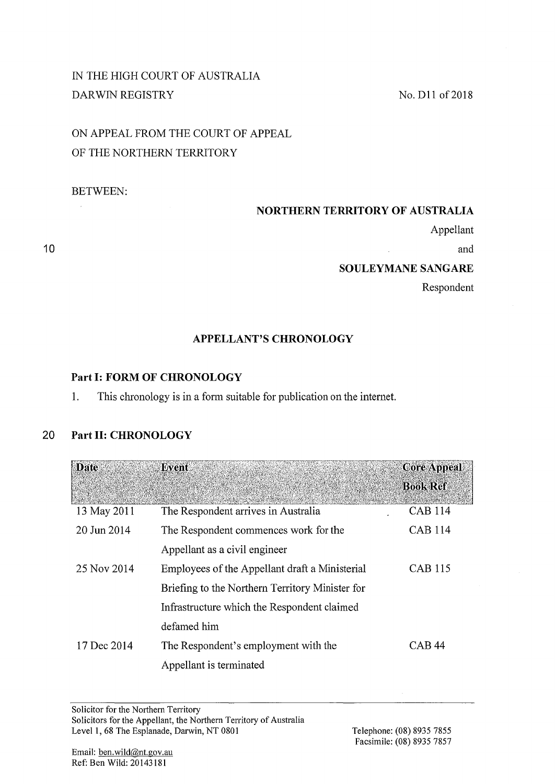## IN THE HIGH COURT OF AUSTRALIA DARWIN REGISTRY

# ON APPEAL FROM THE COURT OF APPEAL OF THE NORTHERN TERRITORY

## BETWEEN:

## **NORTHERN TERRITORY OF AUSTRALIA**

Appellant

and

#### **SOULEYMANESANGARE**

Respondent

## **APPELLANT'S CHRONOLOGY**

## **Part 1: FORM OF CHRONOLOGY**

1. This chronology is in a form suitable for publication on the internet.

## **20 Part II: CHRONOLOGY**

| <b>Date</b> | <b>Event</b>                                    | <b>Core Appeal</b> |
|-------------|-------------------------------------------------|--------------------|
|             |                                                 | <b>Book Ref</b>    |
| 13 May 2011 | The Respondent arrives in Australia             | <b>CAB 114</b>     |
| 20 Jun 2014 | The Respondent commences work for the           | <b>CAB 114</b>     |
|             | Appellant as a civil engineer                   |                    |
| 25 Nov 2014 | Employees of the Appellant draft a Ministerial  | <b>CAB 115</b>     |
|             | Briefing to the Northern Territory Minister for |                    |
|             | Infrastructure which the Respondent claimed     |                    |
|             | defamed him                                     |                    |
| 17 Dec 2014 | The Respondent's employment with the            | CAB 44             |
|             | Appellant is terminated                         |                    |

No. D11 of 2018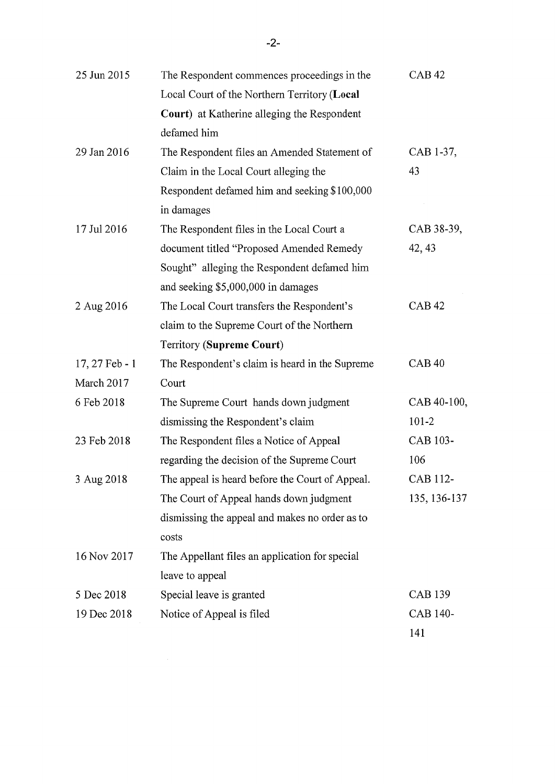| 25 Jun 2015    | The Respondent commences proceedings in the     | <b>CAB42</b>    |
|----------------|-------------------------------------------------|-----------------|
|                | Local Court of the Northern Territory (Local    |                 |
|                | Court) at Katherine alleging the Respondent     |                 |
|                | defamed him                                     |                 |
| 29 Jan 2016    | The Respondent files an Amended Statement of    | CAB 1-37,       |
|                | Claim in the Local Court alleging the           | 43              |
|                | Respondent defamed him and seeking \$100,000    |                 |
|                | in damages                                      |                 |
| 17 Jul 2016    | The Respondent files in the Local Court a       | CAB 38-39,      |
|                | document titled "Proposed Amended Remedy        | 42, 43          |
|                | Sought" alleging the Respondent defamed him     |                 |
|                | and seeking \$5,000,000 in damages              |                 |
| 2 Aug 2016     | The Local Court transfers the Respondent's      | <b>CAB42</b>    |
|                | claim to the Supreme Court of the Northern      |                 |
|                | Territory (Supreme Court)                       |                 |
| 17, 27 Feb - 1 | The Respondent's claim is heard in the Supreme  | CAB40           |
| March 2017     | Court                                           |                 |
| 6 Feb 2018     | The Supreme Court hands down judgment           | CAB 40-100,     |
|                | dismissing the Respondent's claim               | $101 - 2$       |
| 23 Feb 2018    | The Respondent files a Notice of Appeal         | CAB 103-        |
|                | regarding the decision of the Supreme Court     | 106             |
| 3 Aug 2018     | The appeal is heard before the Court of Appeal. | CAB 112-        |
|                | The Court of Appeal hands down judgment         | 135, 136-137    |
|                | dismissing the appeal and makes no order as to  |                 |
|                | costs                                           |                 |
| 16 Nov 2017    | The Appellant files an application for special  |                 |
|                | leave to appeal                                 |                 |
| 5 Dec 2018     | Special leave is granted                        | <b>CAB 139</b>  |
| 19 Dec 2018    | Notice of Appeal is filed                       | <b>CAB 140-</b> |
|                |                                                 | 141             |

 $\label{eq:2.1} \frac{1}{\sqrt{2}}\int_{0}^{\infty}\frac{1}{\sqrt{2\pi}}\left(\frac{1}{\sqrt{2\pi}}\right)^{2\alpha} \frac{1}{\sqrt{2\pi}}\int_{0}^{\infty}\frac{1}{\sqrt{2\pi}}\left(\frac{1}{\sqrt{2\pi}}\right)^{\alpha} \frac{1}{\sqrt{2\pi}}\frac{1}{\sqrt{2\pi}}\int_{0}^{\infty}\frac{1}{\sqrt{2\pi}}\frac{1}{\sqrt{2\pi}}\frac{1}{\sqrt{2\pi}}\frac{1}{\sqrt{2\pi}}\frac{1}{\sqrt{2\pi}}\frac{1}{\sqrt{2\pi}}$